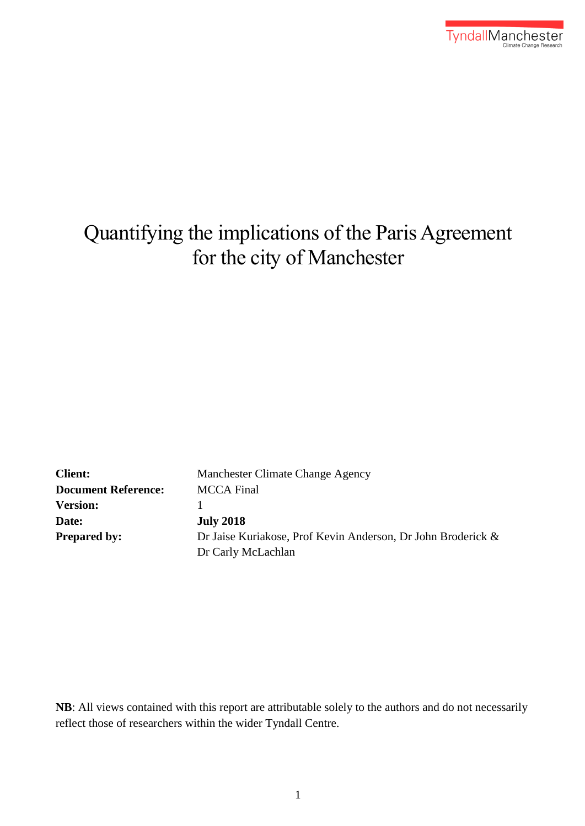

# Quantifying the implications of the Paris Agreement for the city of Manchester

| <b>Client:</b>             | Manchester Climate Change Agency                             |  |  |  |  |
|----------------------------|--------------------------------------------------------------|--|--|--|--|
| <b>Document Reference:</b> | <b>MCCA</b> Final                                            |  |  |  |  |
| <b>Version:</b>            |                                                              |  |  |  |  |
| Date:                      | <b>July 2018</b>                                             |  |  |  |  |
| <b>Prepared by:</b>        | Dr Jaise Kuriakose, Prof Kevin Anderson, Dr John Broderick & |  |  |  |  |
|                            | Dr Carly McLachlan                                           |  |  |  |  |

**NB**: All views contained with this report are attributable solely to the authors and do not necessarily reflect those of researchers within the wider Tyndall Centre.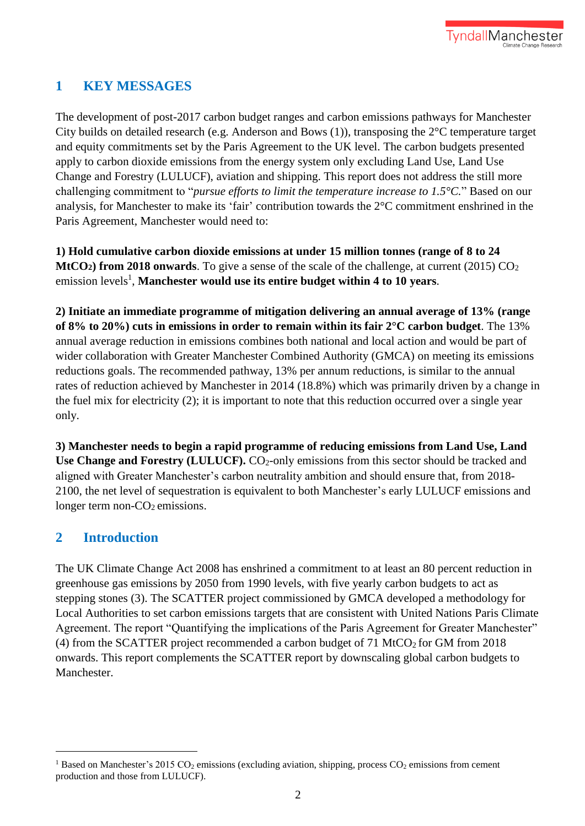# **1 KEY MESSAGES**

The development of post-2017 carbon budget ranges and carbon emissions pathways for Manchester City builds on detailed research (e.g. Anderson and Bows (1)), transposing the 2°C temperature target and equity commitments set by the Paris Agreement to the UK level. The carbon budgets presented apply to carbon dioxide emissions from the energy system only excluding Land Use, Land Use Change and Forestry (LULUCF), aviation and shipping. This report does not address the still more challenging commitment to "*pursue efforts to limit the temperature increase to 1.5°C.*" Based on our analysis, for Manchester to make its 'fair' contribution towards the 2°C commitment enshrined in the Paris Agreement, Manchester would need to:

**1) Hold cumulative carbon dioxide emissions at under 15 million tonnes (range of 8 to 24 MtCO<sub>2</sub> from 2018 onwards**. To give a sense of the scale of the challenge, at current (2015) CO<sub>2</sub> emission levels<sup>1</sup>, Manchester would use its entire budget within 4 to 10 years.

**2) Initiate an immediate programme of mitigation delivering an annual average of 13% (range of 8% to 20%) cuts in emissions in order to remain within its fair 2°C carbon budget**. The 13% annual average reduction in emissions combines both national and local action and would be part of wider collaboration with Greater Manchester Combined Authority (GMCA) on meeting its emissions reductions goals. The recommended pathway, 13% per annum reductions, is similar to the annual rates of reduction achieved by Manchester in 2014 (18.8%) which was primarily driven by a change in the fuel mix for electricity (2); it is important to note that this reduction occurred over a single year only.

**3) Manchester needs to begin a rapid programme of reducing emissions from Land Use, Land**  Use Change and Forestry (LULUCF). CO<sub>2</sub>-only emissions from this sector should be tracked and aligned with Greater Manchester's carbon neutrality ambition and should ensure that, from 2018- 2100, the net level of sequestration is equivalent to both Manchester's early LULUCF emissions and longer term non- $CO<sub>2</sub>$  emissions.

## **2 Introduction**

1

The UK Climate Change Act 2008 has enshrined a commitment to at least an 80 percent reduction in greenhouse gas emissions by 2050 from 1990 levels, with five yearly carbon budgets to act as stepping stones (3). The SCATTER project commissioned by GMCA developed a methodology for Local Authorities to set carbon emissions targets that are consistent with United Nations Paris Climate Agreement. The report "Quantifying the implications of the Paris Agreement for Greater Manchester" (4) from the SCATTER project recommended a carbon budget of  $71$  MtCO<sub>2</sub> for GM from 2018 onwards. This report complements the SCATTER report by downscaling global carbon budgets to Manchester.

<sup>&</sup>lt;sup>1</sup> Based on Manchester's 2015 CO<sub>2</sub> emissions (excluding aviation, shipping, process CO<sub>2</sub> emissions from cement production and those from LULUCF).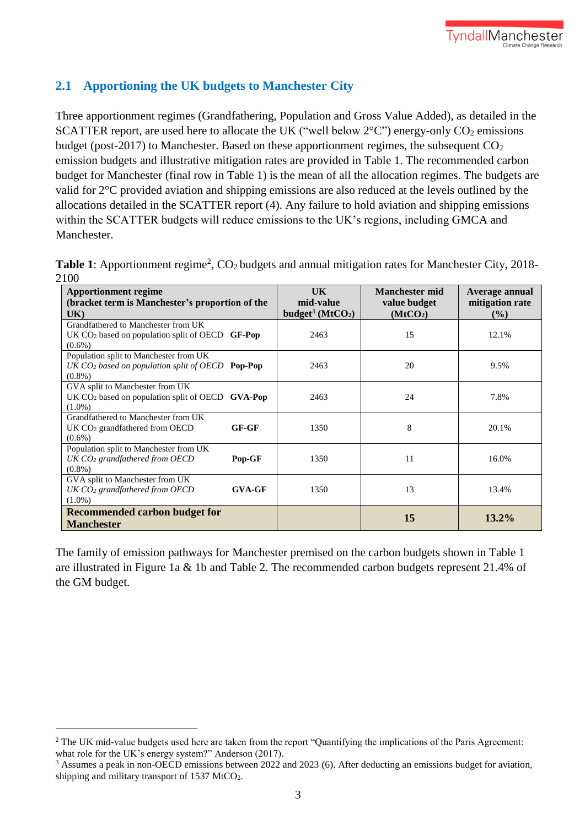### **2.1 Apportioning the UK budgets to Manchester City**

Three apportionment regimes (Grandfathering, Population and Gross Value Added), as detailed in the SCATTER report, are used here to allocate the UK ("well below  $2^{\circ}$ C") energy-only CO<sub>2</sub> emissions budget (post-2017) to Manchester. Based on these apportionment regimes, the subsequent  $CO<sub>2</sub>$ emission budgets and illustrative mitigation rates are provided in Table 1. The recommended carbon budget for Manchester (final row in Table 1) is the mean of all the allocation regimes. The budgets are valid for 2°C provided aviation and shipping emissions are also reduced at the levels outlined by the allocations detailed in the SCATTER report (4). Any failure to hold aviation and shipping emissions within the SCATTER budgets will reduce emissions to the UK's regions, including GMCA and Manchester.

Table 1: Apportionment regime<sup>2</sup>, CO<sub>2</sub> budgets and annual mitigation rates for Manchester City, 2018-2100

| <b>Apportionment regime</b><br>(bracket term is Manchester's proportion of the<br>UK)                            | UK<br>mid-value<br>budget <sup>3</sup> ( $MtCO2$ ) | <b>Manchester mid</b><br>value budget<br>(MtCO <sub>2</sub> ) | Average annual<br>mitigation rate<br>$($ %) |
|------------------------------------------------------------------------------------------------------------------|----------------------------------------------------|---------------------------------------------------------------|---------------------------------------------|
| Grandfathered to Manchester from UK<br>UK $CO2$ based on population split of OECD $GF-Pop$<br>$(0.6\%)$          | 2463                                               | 15                                                            | 12.1%                                       |
| Population split to Manchester from UK<br>UK $CO2$ based on population split of OECD <b>Pop-Pop</b><br>$(0.8\%)$ | 2463                                               | 20                                                            | 9.5%                                        |
| GVA split to Manchester from UK<br>UK $CO2$ based on population split of OECD $\,$ GVA-Pop<br>$(1.0\%)$          | 2463                                               | 24                                                            | 7.8%                                        |
| Grandfathered to Manchester from UK<br>$GF-GF$<br>UK $CO2$ grandfathered from OECD<br>$(0.6\%)$                  | 1350                                               | 8                                                             | 20.1%                                       |
| Population split to Manchester from UK<br>$UK CO2$ grandfathered from OECD<br>Pop-GF<br>$(0.8\%)$                | 1350                                               | 11                                                            | 16.0%                                       |
| GVA split to Manchester from UK<br><b>GVA-GF</b><br>$UK CO2$ grandfathered from OECD<br>$(1.0\%)$                | 1350                                               | 13                                                            | 13.4%                                       |
| <b>Recommended carbon budget for</b><br><b>Manchester</b>                                                        |                                                    | 15                                                            | $13.2\%$                                    |

The family of emission pathways for Manchester premised on the carbon budgets shown in Table 1 are illustrated in Figure 1a & 1b and Table 2. The recommended carbon budgets represent 21.4% of the GM budget.

1

<sup>&</sup>lt;sup>2</sup> The UK mid-value budgets used here are taken from the report "Quantifying the implications of the Paris Agreement: what role for the UK's energy system?" Anderson (2017).

<sup>&</sup>lt;sup>3</sup> Assumes a peak in non-OECD emissions between 2022 and 2023 (6). After deducting an emissions budget for aviation, shipping and military transport of 1537 MtCO<sub>2</sub>.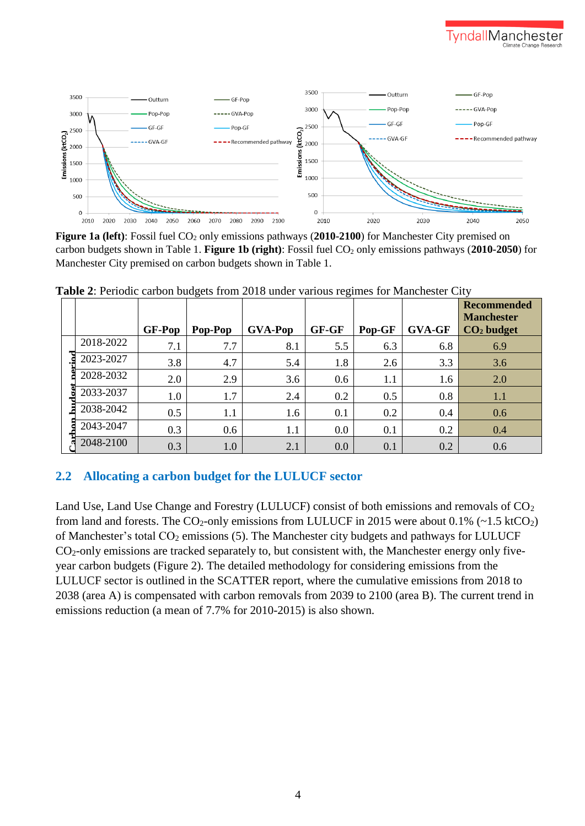



**Figure 1a (left)**: Fossil fuel CO<sub>2</sub> only emissions pathways (2010-2100) for Manchester City premised on carbon budgets shown in Table 1. **Figure 1b (right)**: Fossil fuel CO<sup>2</sup> only emissions pathways (**2010-2050**) for Manchester City premised on carbon budgets shown in Table 1.

|  |           | <b>GF-Pop</b> | Pop-Pop | <b>GVA-Pop</b> | GF-GF | Pop-GF | <b>GVA-GF</b> | <b>Recommended</b><br><b>Manchester</b><br>$CO2$ budget |
|--|-----------|---------------|---------|----------------|-------|--------|---------------|---------------------------------------------------------|
|  | 2018-2022 | 7.1           | 7.7     | 8.1            | 5.5   | 6.3    | 6.8           | 6.9                                                     |
|  | 2023-2027 | 3.8           | 4.7     | 5.4            | 1.8   | 2.6    | 3.3           | 3.6                                                     |
|  | 2028-2032 | 2.0           | 2.9     | 3.6            | 0.6   | 1.1    | 1.6           | 2.0                                                     |
|  | 2033-2037 | 1.0           | 1.7     | 2.4            | 0.2   | 0.5    | 0.8           | 1.1                                                     |
|  | 2038-2042 | 0.5           | 1.1     | 1.6            | 0.1   | 0.2    | 0.4           | 0.6                                                     |
|  | 2043-2047 | 0.3           | 0.6     | 1.1            | 0.0   | 0.1    | 0.2           | 0.4                                                     |
|  | 2048-2100 | 0.3           | 1.0     | 2.1            | 0.0   | 0.1    | 0.2           | 0.6                                                     |

**Table 2**: Periodic carbon budgets from 2018 under various regimes for Manchester City

#### **2.2 Allocating a carbon budget for the LULUCF sector**

Land Use, Land Use Change and Forestry (LULUCF) consist of both emissions and removals of CO<sub>2</sub> from land and forests. The  $CO_2$ -only emissions from LULUCF in 2015 were about 0.1% (~1.5 ktCO<sub>2</sub>) of Manchester's total  $CO_2$  emissions (5). The Manchester city budgets and pathways for LULUCF CO2-only emissions are tracked separately to, but consistent with, the Manchester energy only fiveyear carbon budgets (Figure 2). The detailed methodology for considering emissions from the LULUCF sector is outlined in the SCATTER report, where the cumulative emissions from 2018 to 2038 (area A) is compensated with carbon removals from 2039 to 2100 (area B). The current trend in emissions reduction (a mean of 7.7% for 2010-2015) is also shown.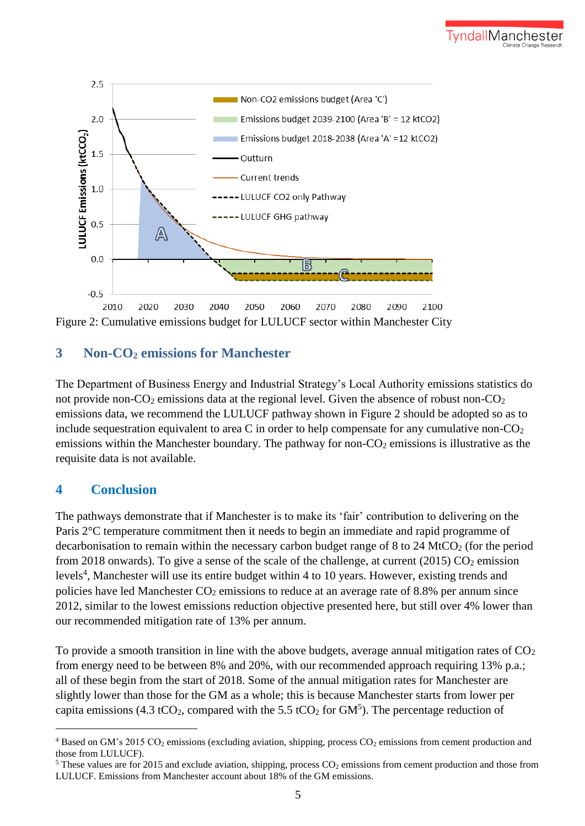

Figure 2: Cumulative emissions budget for LULUCF sector within Manchester City

## **3 Non-CO<sup>2</sup> emissions for Manchester**

The Department of Business Energy and Industrial Strategy's Local Authority emissions statistics do not provide non- $CO_2$  emissions data at the regional level. Given the absence of robust non- $CO_2$ emissions data, we recommend the LULUCF pathway shown in Figure 2 should be adopted so as to include sequestration equivalent to area C in order to help compensate for any cumulative non- $CO<sub>2</sub>$ emissions within the Manchester boundary. The pathway for non- $CO<sub>2</sub>$  emissions is illustrative as the requisite data is not available.

## **4 Conclusion**

1

The pathways demonstrate that if Manchester is to make its 'fair' contribution to delivering on the Paris 2°C temperature commitment then it needs to begin an immediate and rapid programme of decarbonisation to remain within the necessary carbon budget range of  $8$  to  $24 \text{ MtCO}_2$  (for the period from 2018 onwards). To give a sense of the scale of the challenge, at current (2015)  $CO<sub>2</sub>$  emission levels<sup>4</sup>, Manchester will use its entire budget within 4 to 10 years. However, existing trends and policies have led Manchester  $CO<sub>2</sub>$  emissions to reduce at an average rate of 8.8% per annum since 2012, similar to the lowest emissions reduction objective presented here, but still over 4% lower than our recommended mitigation rate of 13% per annum.

To provide a smooth transition in line with the above budgets, average annual mitigation rates of  $CO<sub>2</sub>$ from energy need to be between 8% and 20%, with our recommended approach requiring 13% p.a.; all of these begin from the start of 2018. Some of the annual mitigation rates for Manchester are slightly lower than those for the GM as a whole; this is because Manchester starts from lower per capita emissions (4.3 tCO<sub>2</sub>, compared with the 5.5 tCO<sub>2</sub> for GM<sup>5</sup>). The percentage reduction of

 $4$  Based on GM's 2015 CO<sub>2</sub> emissions (excluding aviation, shipping, process CO<sub>2</sub> emissions from cement production and those from LULUCF).

<sup>&</sup>lt;sup>5</sup> These values are for 2015 and exclude aviation, shipping, process  $CO<sub>2</sub>$  emissions from cement production and those from LULUCF. Emissions from Manchester account about 18% of the GM emissions.